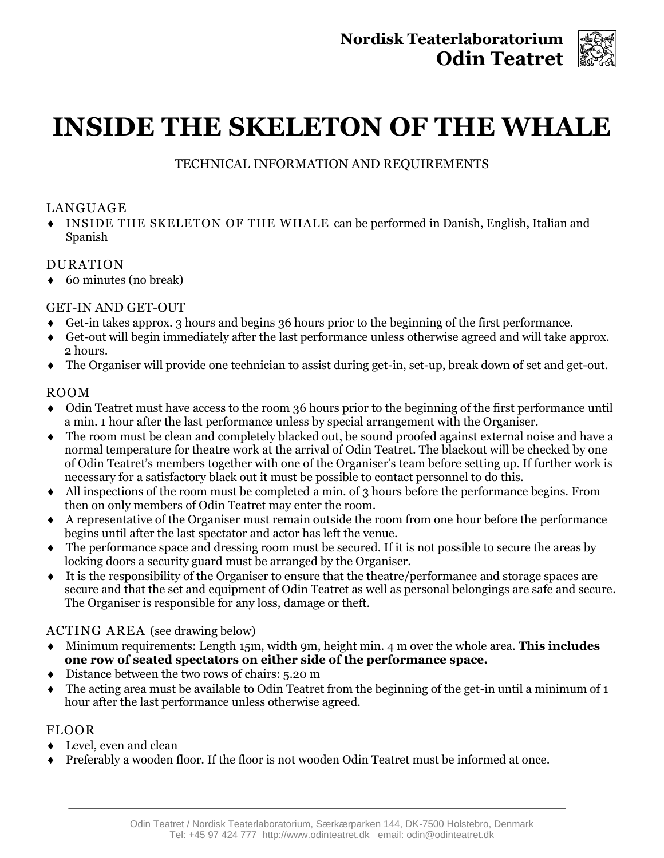

# **INSIDE THE SKELETON OF THE WHALE**

TECHNICAL INFORMATION AND REQUIREMENTS

# LANGUAGE

 INSIDE THE SKELETON OF THE WHALE can be performed in Danish, English, Italian and Spanish

# DURATION

◆ 60 minutes (no break)

# GET-IN AND GET-OUT

- Get-in takes approx. 3 hours and begins 36 hours prior to the beginning of the first performance.
- Get-out will begin immediately after the last performance unless otherwise agreed and will take approx. 2 hours.
- The Organiser will provide one technician to assist during get-in, set-up, break down of set and get-out.

# ROOM

- Odin Teatret must have access to the room 36 hours prior to the beginning of the first performance until a min. 1 hour after the last performance unless by special arrangement with the Organiser.
- The room must be clean and completely blacked out, be sound proofed against external noise and have a normal temperature for theatre work at the arrival of Odin Teatret. The blackout will be checked by one of Odin Teatret's members together with one of the Organiser's team before setting up. If further work is necessary for a satisfactory black out it must be possible to contact personnel to do this.
- All inspections of the room must be completed a min. of 3 hours before the performance begins. From then on only members of Odin Teatret may enter the room.
- A representative of the Organiser must remain outside the room from one hour before the performance begins until after the last spectator and actor has left the venue.
- The performance space and dressing room must be secured. If it is not possible to secure the areas by locking doors a security guard must be arranged by the Organiser.
- It is the responsibility of the Organiser to ensure that the theatre/performance and storage spaces are secure and that the set and equipment of Odin Teatret as well as personal belongings are safe and secure. The Organiser is responsible for any loss, damage or theft.

# ACTING AREA (see drawing below)

- Minimum requirements: Length 15m, width 9m, height min. 4 m over the whole area. **This includes one row of seated spectators on either side of the performance space.**
- Distance between the two rows of chairs: 5.20 m
- $\bullet$  The acting area must be available to Odin Teatret from the beginning of the get-in until a minimum of 1 hour after the last performance unless otherwise agreed.

# FLOOR

- Level, even and clean
- Preferably a wooden floor. If the floor is not wooden Odin Teatret must be informed at once.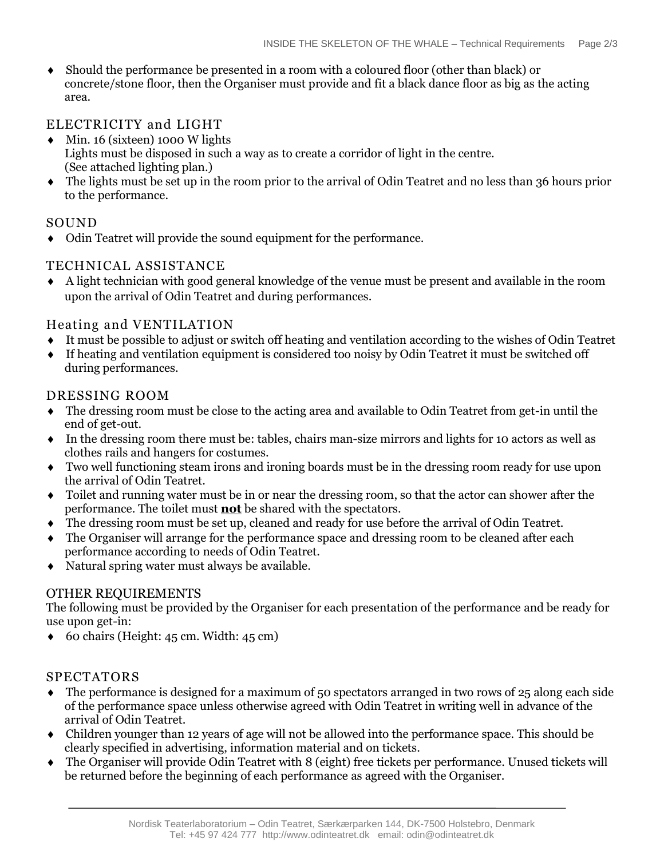Should the performance be presented in a room with a coloured floor (other than black) or concrete/stone floor, then the Organiser must provide and fit a black dance floor as big as the acting area.

## ELECTRICITY and LIGHT

- $\bullet$  Min. 16 (sixteen) 1000 W lights Lights must be disposed in such a way as to create a corridor of light in the centre. (See attached lighting plan.)
- The lights must be set up in the room prior to the arrival of Odin Teatret and no less than 36 hours prior to the performance.

#### SOUND

Odin Teatret will provide the sound equipment for the performance.

#### TECHNICAL ASSISTANCE

 A light technician with good general knowledge of the venue must be present and available in the room upon the arrival of Odin Teatret and during performances.

#### Heating and VENTILATION

- It must be possible to adjust or switch off heating and ventilation according to the wishes of Odin Teatret
- If heating and ventilation equipment is considered too noisy by Odin Teatret it must be switched off during performances.

#### DRESSING ROOM

- The dressing room must be close to the acting area and available to Odin Teatret from get-in until the end of get-out.
- In the dressing room there must be: tables, chairs man-size mirrors and lights for 10 actors as well as clothes rails and hangers for costumes.
- Two well functioning steam irons and ironing boards must be in the dressing room ready for use upon the arrival of Odin Teatret.
- Toilet and running water must be in or near the dressing room, so that the actor can shower after the performance. The toilet must **not** be shared with the spectators.
- The dressing room must be set up, cleaned and ready for use before the arrival of Odin Teatret.
- The Organiser will arrange for the performance space and dressing room to be cleaned after each performance according to needs of Odin Teatret.
- Natural spring water must always be available.

#### OTHER REQUIREMENTS

The following must be provided by the Organiser for each presentation of the performance and be ready for use upon get-in:

 $\bullet$  60 chairs (Height: 45 cm. Width: 45 cm)

#### SPECTATORS

- $\bullet$  The performance is designed for a maximum of 50 spectators arranged in two rows of 25 along each side of the performance space unless otherwise agreed with Odin Teatret in writing well in advance of the arrival of Odin Teatret.
- Children younger than 12 years of age will not be allowed into the performance space. This should be clearly specified in advertising, information material and on tickets.
- The Organiser will provide Odin Teatret with 8 (eight) free tickets per performance. Unused tickets will be returned before the beginning of each performance as agreed with the Organiser.